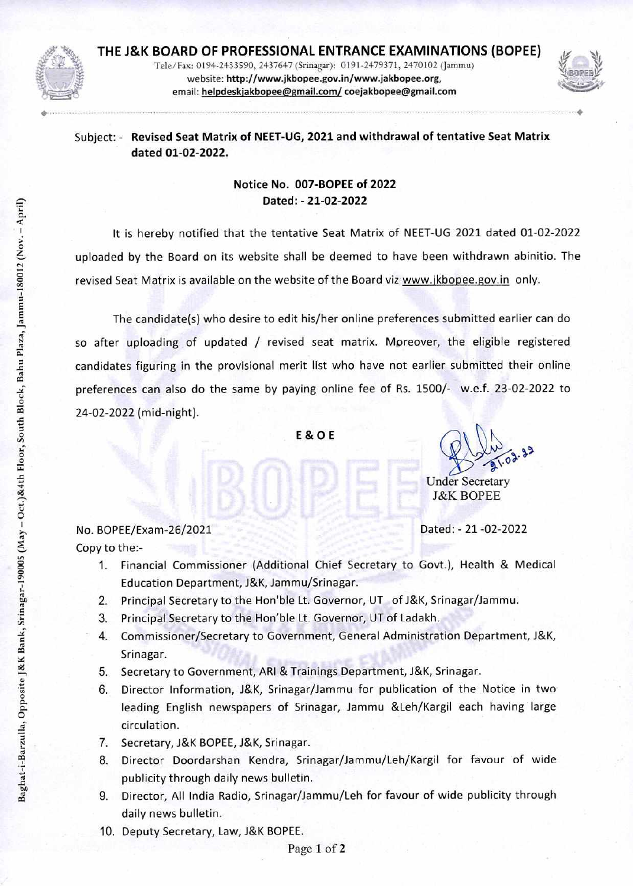

<,›

**THE J&K BOARD OF PROFESSIONAL ENTRANCE EXAMINATIONS (BOPEE)**  Telc/Fax: 0194-24-33590, 2437647 (Srinagar): 0191-2479371, 2470102 (Jammu) website: **http://www.jkbopee.gov.in/www.jakbopee.org,**  email: **helpdeskjakbopee@gmail.com/ coejakbopee@gmail.com** 



## Subject: - **Revised Seat Matrix of NEET-UG, 2021 and withdrawal of tentative Seat Matrix dated 01-02-2022.**

## **Notice No. 007-BOPEE of 2022**  Dated: - 21-02-2022

It is hereby notified that the tentative Seat Matrix of NEET-UG 2021 dated 01-02-2022 uploaded by the Board on its website shall be deemed to have been withdrawn abinitio. The revised Seat Matrix is available on the website of the Board viz www.jkbopee.gov.in only.

The candidate(s) who desire to edit his/her online preferences submitted earlier can do so after uploading of updated / revised seat matrix. Moreover, the eligible registered candidates figuring in the provisional merit list who have not earlier submitted their online preferences can also do the same by paying online fee of Rs. 1500/- w.e.f. 23-02-2022 to 24-02-2022 (mid-night).

**(,) 0 E & 0 E** 

 $\mathbb{Q}$  .

Under Secretary J&K BOPEE

Dated: - 21-02-2022

No. BOPEE/Exam-26/2021 Copy to the:-

- 1. Financial Commissioner (Additional Chief Secretary to Govt.), Health & Medical 0 Education Department, J&K, Jammu/Srinagar.
- 2. Principal Secretary to the Hon'ble Lt. Governor, UT of J&K, Srinagar/Jammu.
- 3. Principal Secretary to the Hon'ble Lt. Governor, UT of Ladakh.
- 4. Commissioner/Secretary to Government, General Administration Department, J&K, Srinagar.
- 5. Secretary to Government, ARI & Trainings Department, J&K, Srinagar.
- 6. Director Information, J&K, Srinagar/Jammu for publication of the Notice in two leading English newspapers of Srinagar, Jammu &Leh/Kargil each having large circulation.
- 7. Secretary, J&K BOPEE, J&K, Srinagar.
- 8. Director Doordarshan Kendra, Srinagar/Jammu/Leh/Kargil for favour of wide publicity through daily news bulletin.
- 9. Director, All India Radio, Srinagar/Jammu/Leh for favour of wide publicity through daily news bulletin.
- 10. Deputy Secretary, Law, J&K BOPEE.